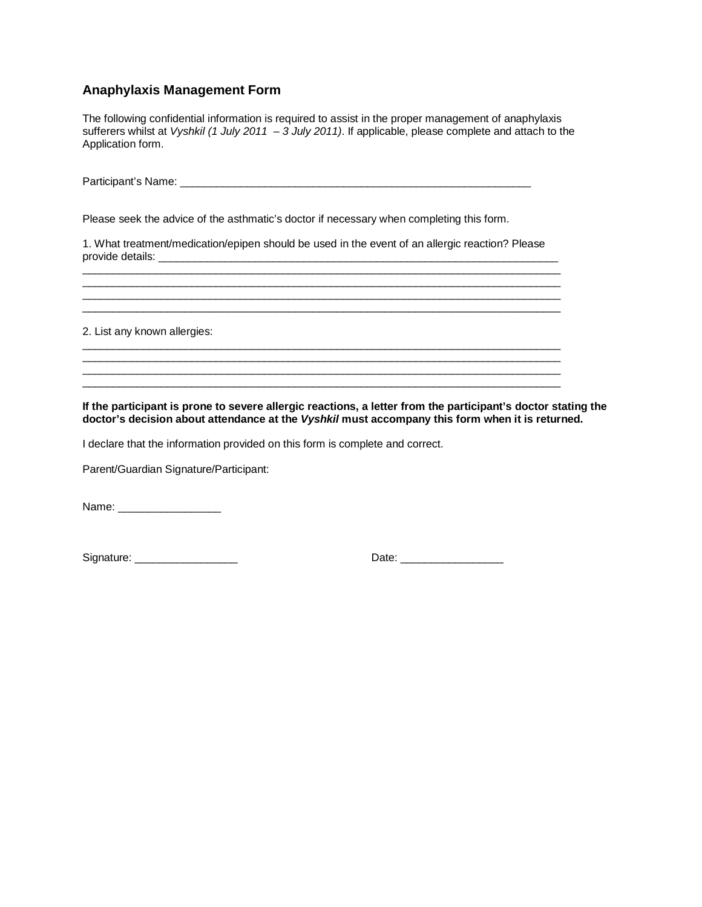## **Anaphylaxis Management Form**

The following confidential information is required to assist in the proper management of anaphylaxis sufferers whilst at *Vyshkil (1 July 2011 – 3 July 2011)*. If applicable, please complete and attach to the Application form.

Participant's Name: \_\_\_\_\_\_\_\_\_\_\_\_\_\_\_\_\_\_\_\_\_\_\_\_\_\_\_\_\_\_\_\_\_\_\_\_\_\_\_\_\_\_\_\_\_\_\_\_\_\_\_\_\_\_\_\_\_\_

Please seek the advice of the asthmatic's doctor if necessary when completing this form.

1. What treatment/medication/epipen should be used in the event of an allergic reaction? Please provide details:

 $\overline{\phantom{a}}$  ,  $\overline{\phantom{a}}$  ,  $\overline{\phantom{a}}$  ,  $\overline{\phantom{a}}$  ,  $\overline{\phantom{a}}$  ,  $\overline{\phantom{a}}$  ,  $\overline{\phantom{a}}$  ,  $\overline{\phantom{a}}$  ,  $\overline{\phantom{a}}$  ,  $\overline{\phantom{a}}$  ,  $\overline{\phantom{a}}$  ,  $\overline{\phantom{a}}$  ,  $\overline{\phantom{a}}$  ,  $\overline{\phantom{a}}$  ,  $\overline{\phantom{a}}$  ,  $\overline{\phantom{a}}$ 

\_\_\_\_\_\_\_\_\_\_\_\_\_\_\_\_\_\_\_\_\_\_\_\_\_\_\_\_\_\_\_\_\_\_\_\_\_\_\_\_\_\_\_\_\_\_\_\_\_\_\_\_\_\_\_\_\_\_\_\_\_\_\_\_\_\_\_\_\_\_\_\_\_\_\_\_\_\_\_

\_\_\_\_\_\_\_\_\_\_\_\_\_\_\_\_\_\_\_\_\_\_\_\_\_\_\_\_\_\_\_\_\_\_\_\_\_\_\_\_\_\_\_\_\_\_\_\_\_\_\_\_\_\_\_\_\_\_\_\_\_\_\_\_\_\_\_\_\_\_\_\_\_\_\_\_\_\_\_ \_\_\_\_\_\_\_\_\_\_\_\_\_\_\_\_\_\_\_\_\_\_\_\_\_\_\_\_\_\_\_\_\_\_\_\_\_\_\_\_\_\_\_\_\_\_\_\_\_\_\_\_\_\_\_\_\_\_\_\_\_\_\_\_\_\_\_\_\_\_\_\_\_\_\_\_\_\_\_ \_\_\_\_\_\_\_\_\_\_\_\_\_\_\_\_\_\_\_\_\_\_\_\_\_\_\_\_\_\_\_\_\_\_\_\_\_\_\_\_\_\_\_\_\_\_\_\_\_\_\_\_\_\_\_\_\_\_\_\_\_\_\_\_\_\_\_\_\_\_\_\_\_\_\_\_\_\_\_ \_\_\_\_\_\_\_\_\_\_\_\_\_\_\_\_\_\_\_\_\_\_\_\_\_\_\_\_\_\_\_\_\_\_\_\_\_\_\_\_\_\_\_\_\_\_\_\_\_\_\_\_\_\_\_\_\_\_\_\_\_\_\_\_\_\_\_\_\_\_\_\_\_\_\_\_\_\_\_

2. List any known allergies:

**If the participant is prone to severe allergic reactions, a letter from the participant's doctor stating the doctor's decision about attendance at the** *Vyshkil* **must accompany this form when it is returned.** 

I declare that the information provided on this form is complete and correct.

Parent/Guardian Signature/Participant:

Name: \_\_\_\_\_\_\_\_\_\_\_\_\_\_\_\_\_

Signature: \_\_\_\_\_\_\_\_\_\_\_\_\_\_\_\_\_ Date: \_\_\_\_\_\_\_\_\_\_\_\_\_\_\_\_\_